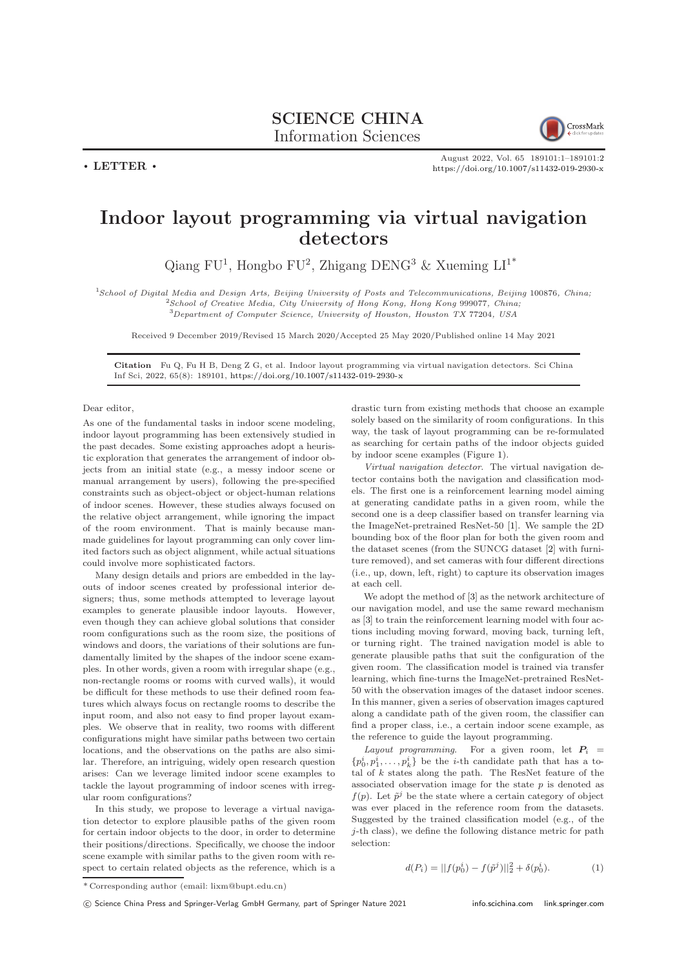

August 2022, Vol. 65 189101:1–189101[:2](#page-1-0) <https://doi.org/10.1007/s11432-019-2930-x>

## Indoor layout programming via virtual navigation detectors

Qiang FU<sup>1</sup>, Hongbo FU<sup>2</sup>, Zhigang DENG<sup>3</sup> & Xueming  $LI^{1*}$ 

<sup>1</sup>School of Digital Media and Design Arts, Beijing University of Posts and Telecommunications, Beijing 100876, China; <sup>2</sup>School of Creative Media, City University of Hong Kong, Hong Kong 999077, China;  $^3$ Department of Computer Science, University of Houston, Houston TX 77204, USA

Received 9 December 2019/Revised 15 March 2020/Accepted 25 May 2020/Published online 14 May 2021

Citation Fu Q, Fu H B, Deng Z G, et al. Indoor layout programming via virtual navigation detectors. Sci China Inf Sci, 2022, 65(8): 189101, <https://doi.org/10.1007/s11432-019-2930-x>

## Dear editor,

 $\cdot$  LETTER  $\cdot$ 

As one of the fundamental tasks in indoor scene modeling, indoor layout programming has been extensively studied in the past decades. Some existing approaches adopt a heuristic exploration that generates the arrangement of indoor objects from an initial state (e.g., a messy indoor scene or manual arrangement by users), following the pre-specified constraints such as object-object or object-human relations of indoor scenes. However, these studies always focused on the relative object arrangement, while ignoring the impact of the room environment. That is mainly because manmade guidelines for layout programming can only cover limited factors such as object alignment, while actual situations could involve more sophisticated factors.

Many design details and priors are embedded in the layouts of indoor scenes created by professional interior designers; thus, some methods attempted to leverage layout examples to generate plausible indoor layouts. However, even though they can achieve global solutions that consider room configurations such as the room size, the positions of windows and doors, the variations of their solutions are fundamentally limited by the shapes of the indoor scene examples. In other words, given a room with irregular shape (e.g., non-rectangle rooms or rooms with curved walls), it would be difficult for these methods to use their defined room features which always focus on rectangle rooms to describe the input room, and also not easy to find proper layout examples. We observe that in reality, two rooms with different configurations might have similar paths between two certain locations, and the observations on the paths are also similar. Therefore, an intriguing, widely open research question arises: Can we leverage limited indoor scene examples to tackle the layout programming of indoor scenes with irregular room configurations?

In this study, we propose to leverage a virtual navigation detector to explore plausible paths of the given room for certain indoor objects to the door, in order to determine their positions/directions. Specifically, we choose the indoor scene example with similar paths to the given room with respect to certain related objects as the reference, which is a

drastic turn from existing methods that choose an example solely based on the similarity of room configurations. In this way, the task of layout programming can be re-formulated as searching for certain paths of the indoor objects guided by indoor scene examples (Figure [1\)](#page-1-1).

Virtual navigation detector. The virtual navigation detector contains both the navigation and classification models. The first one is a reinforcement learning model aiming at generating candidate paths in a given room, while the second one is a deep classifier based on transfer learning via the ImageNet-pretrained ResNet-50 [\[1\]](#page-1-2). We sample the 2D bounding box of the floor plan for both the given room and the dataset scenes (from the SUNCG dataset [\[2\]](#page-1-3) with furniture removed), and set cameras with four different directions (i.e., up, down, left, right) to capture its observation images at each cell.

We adopt the method of [\[3\]](#page-1-4) as the network architecture of our navigation model, and use the same reward mechanism as [\[3\]](#page-1-4) to train the reinforcement learning model with four actions including moving forward, moving back, turning left, or turning right. The trained navigation model is able to generate plausible paths that suit the configuration of the given room. The classification model is trained via transfer learning, which fine-turns the ImageNet-pretrained ResNet-50 with the observation images of the dataset indoor scenes. In this manner, given a series of observation images captured along a candidate path of the given room, the classifier can find a proper class, i.e., a certain indoor scene example, as the reference to guide the layout programming.

Layout programming. For a given room, let  $P_i =$  $\{p_0^i, p_1^i, \ldots, p_k^i\}$  be the *i*-th candidate path that has a total of  $k$  states along the path. The ResNet feature of the associated observation image for the state  $p$  is denoted as  $f(p)$ . Let  $\tilde{p}^j$  be the state where a certain category of object was ever placed in the reference room from the datasets. Suggested by the trained classification model (e.g., of the j-th class), we define the following distance metric for path selection:

$$
d(P_i) = ||f(p_0^i) - f(\tilde{p}^j)||_2^2 + \delta(p_0^i). \tag{1}
$$

<sup>\*</sup> Corresponding author (email: lixm@bupt.edu.cn)

c Science China Press and Springer-Verlag GmbH Germany, part of Springer Nature 2021 <info.scichina.com><link.springer.com>